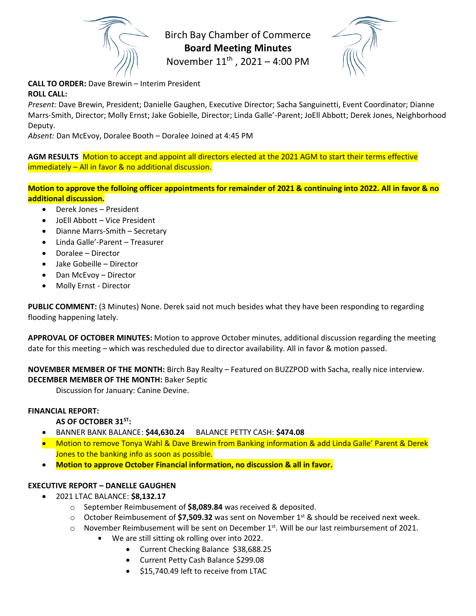

Birch Bay Chamber of Commerce **Board Meeting Minutes**

November 11<sup>th</sup>, 2021 - 4:00 PM

**CALL TO ORDER:** Dave Brewin – Interim President **ROLL CALL:**

*Present:* Dave Brewin, President; Danielle Gaughen, Executive Director; Sacha Sanguinetti, Event Coordinator; Dianne Marrs-Smith, Director; Molly Ernst; Jake Gobielle, Director; Linda Galle'-Parent; JoEll Abbott; Derek Jones, Neighborhood Deputy.

*Absent:* Dan McEvoy, Doralee Booth – Doralee Joined at 4:45 PM

**AGM RESULTS** Motion to accept and appoint all directors elected at the 2021 AGM to start their terms effective immediately – All in favor & no additional discussion.

**Motion to approve the folloing officer appointments for remainder of 2021 & continuing into 2022. All in favor & no additional discussion.**

- Derek Jones President
- JoEll Abbott Vice President
- Dianne Marrs-Smith Secretary
- Linda Galle'-Parent Treasurer
- Doralee Director
- Jake Gobeille Director
- Dan McEvoy Director
- Molly Ernst Director

**PUBLIC COMMENT:** (3 Minutes) None. Derek said not much besides what they have been responding to regarding flooding happening lately.

**APPROVAL OF OCTOBER MINUTES:** Motion to approve October minutes, additional discussion regarding the meeting date for this meeting – which was rescheduled due to director availability. All in favor & motion passed.

**NOVEMBER MEMBER OF THE MONTH:** Birch Bay Realty – Featured on BUZZPOD with Sacha, really nice interview. **DECEMBER MEMBER OF THE MONTH:** Baker Septic

Discussion for January: Canine Devine.

### **FINANCIAL REPORT:**

# **AS OF OCTOBER 31ST:**

- BANNER BANK BALANCE: **\$44,630.24** BALANCE PETTY CASH: **\$474.08**
- Motion to remove Tonya Wahl & Dave Brewin from Banking information & add Linda Galle' Parent & Derek Jones to the banking info as soon as possible.
- **Motion to approve October Financial information, no discussion & all in favor.**

### **EXECUTIVE REPORT – DANELLE GAUGHEN**

- 2021 LTAC BALANCE: **\$8,132.17**
	- o September Reimbusement of **\$8,089.84** was received & deposited.
	- o October Reimbusement of **\$7,509.32** was sent on November 1st & should be received next week.
	- $\circ$  November Reimbusement will be sent on December 1st. Will be our last reimbursement of 2021.
		- We are still sitting ok rolling over into 2022.
			- Current Checking Balance \$38,688.25
			- Current Petty Cash Balance \$299.08
			- \$15,740.49 left to receive from LTAC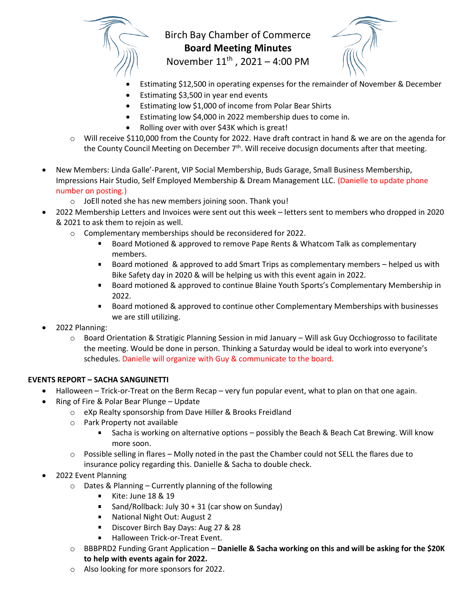

# Birch Bay Chamber of Commerce **Board Meeting Minutes** November 11<sup>th</sup>, 2021 - 4:00 PM

- Estimating \$12,500 in operating expenses for the remainder of November & December
- Estimating \$3,500 in year end events
- Estimating low \$1,000 of income from Polar Bear Shirts
- Estimating low \$4,000 in 2022 membership dues to come in.
- Rolling over with over \$43K which is great!
- $\circ$  Will receive \$110,000 from the County for 2022. Have draft contract in hand & we are on the agenda for the County Council Meeting on December 7<sup>th</sup>. Will receive docusign documents after that meeting.
- New Members: Linda Galle'-Parent, VIP Social Membership, Buds Garage, Small Business Membership, Impressions Hair Studio, Self Employed Membership & Dream Management LLC. (Danielle to update phone number on posting.)
	- o JoEll noted she has new members joining soon. Thank you!
- 2022 Membership Letters and Invoices were sent out this week letters sent to members who dropped in 2020 & 2021 to ask them to rejoin as well.
	- o Complementary memberships should be reconsidered for 2022.
		- Board Motioned & approved to remove Pape Rents & Whatcom Talk as complementary  $\mathbf{r}$ members.
		- $\mathbf{u}$ Board motioned & approved to add Smart Trips as complementary members – helped us with Bike Safety day in 2020 & will be helping us with this event again in 2022.
		- Board motioned & approved to continue Blaine Youth Sports's Complementary Membership in  $\mathbf{u}$ 2022.
		- Board motioned & approved to continue other Complementary Memberships with businesses we are still utilizing.
- 2022 Planning:
	- o Board Orientation & Stratigic Planning Session in mid January Will ask Guy Occhiogrosso to facilitate the meeting. Would be done in person. Thinking a Saturday would be ideal to work into everyone's schedules. Danielle will organize with Guy & communicate to the board.

# **EVENTS REPORT – SACHA SANGUINETTI**

- Halloween Trick-or-Treat on the Berm Recap very fun popular event, what to plan on that one again.
- Ring of Fire & Polar Bear Plunge Update
	- o eXp Realty sponsorship from Dave Hiller & Brooks Freidland
	- o Park Property not available
		- Sacha is working on alternative options possibly the Beach & Beach Cat Brewing. Will know  $\mathbf{H}^{\text{max}}$ more soon.
	- $\circ$  Possible selling in flares Molly noted in the past the Chamber could not SELL the flares due to insurance policy regarding this. Danielle & Sacha to double check.
- 2022 Event Planning
	- o Dates & Planning Currently planning of the following
		- Kite: June 18 & 19
		- Sand/Rollback: July  $30 + 31$  (car show on Sunday)
		- **National Night Out: August 2**
		- Discover Birch Bay Days: Aug 27 & 28
		- Halloween Trick-or-Treat Event.
	- o BBBPRD2 Funding Grant Application **Danielle & Sacha working on this and will be asking for the \$20K to help with events again for 2022.**
	- o Also looking for more sponsors for 2022.